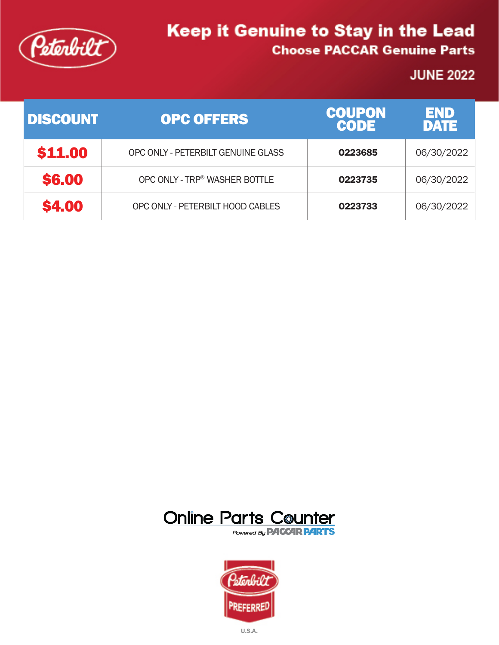

## **JUNE 2022**

| <b>DISCOUNT</b> | <b>OPC OFFERS</b>                  | <b>COUPON</b><br><b>CODE</b> | END<br><b>DATE</b> |
|-----------------|------------------------------------|------------------------------|--------------------|
| \$11,00         | OPC ONLY - PETERBILT GENUINE GLASS | 0223685                      | 06/30/2022         |
| <b>\$6,00</b>   | OPC ONLY - TRP® WASHER BOTTLE      | 0223735                      | 06/30/2022         |
| <b>\$4.00</b>   | OPC ONLY - PETERBILT HOOD CABLES   | 0223733                      | 06/30/2022         |





U.S.A.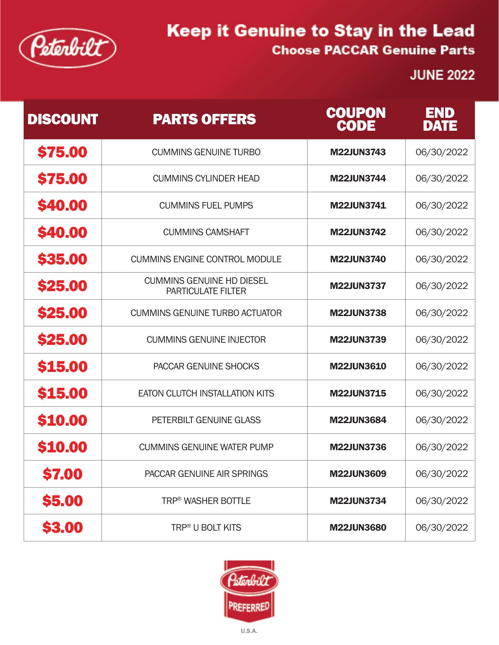

## **JUNE 2022**

| <b>DISCOUNT</b> | <b>PARTS OFFERS</b>                                           | <b>COUPON</b><br><b>CODE</b> | END<br><b>DATE</b> |
|-----------------|---------------------------------------------------------------|------------------------------|--------------------|
| <b>\$75.00</b>  | <b>CUMMINS GENUINE TURBO</b>                                  | <b>M22JUN3743</b>            | 06/30/2022         |
| <b>\$75,00</b>  | <b>CUMMINS CYLINDER HEAD</b>                                  | <b>M22JUN3744</b>            | 06/30/2022         |
| <b>\$40,00</b>  | <b>CUMMINS FUEL PUMPS</b>                                     | <b>M22JUN3741</b>            | 06/30/2022         |
| <b>\$40,00</b>  | <b>CUMMINS CAMSHAFT</b>                                       | <b>M22JUN3742</b>            | 06/30/2022         |
| <b>\$35,00</b>  | <b>CUMMINS ENGINE CONTROL MODULE</b>                          | <b>M22JUN3740</b>            | 06/30/2022         |
| <b>\$25,00</b>  | <b>CUMMINS GENUINE HD DIESEL</b><br><b>PARTICULATE FILTER</b> | <b>M22JUN3737</b>            | 06/30/2022         |
| <b>\$25,00</b>  | <b>CUMMINS GENUINE TURBO ACTUATOR</b>                         | <b>M22JUN3738</b>            | 06/30/2022         |
| <b>\$25,00</b>  | <b>CUMMINS GENUINE INJECTOR</b>                               | <b>M22JUN3739</b>            | 06/30/2022         |
| <b>\$15.00</b>  | PACCAR GENUINE SHOCKS                                         | <b>M22JUN3610</b>            | 06/30/2022         |
| <b>\$15,00</b>  | <b>EATON CLUTCH INSTALLATION KITS</b>                         | <b>M22JUN3715</b>            | 06/30/2022         |
| <b>\$10.00</b>  | PETERBILT GENUINE GLASS                                       | <b>M22JUN3684</b>            | 06/30/2022         |
| <b>\$10.00</b>  | <b>CUMMINS GENUINE WATER PUMP</b>                             | <b>M22JUN3736</b>            | 06/30/2022         |
| \$7.00          | PACCAR GENUINE AIR SPRINGS                                    | <b>M22JUN3609</b>            | 06/30/2022         |
| <b>\$5.00</b>   | <b>TRP® WASHER BOTTLE</b>                                     | <b>M22JUN3734</b>            | 06/30/2022         |
| \$3.00          | TRP <sup>®</sup> U BOLT KITS                                  | <b>M22JUN3680</b>            | 06/30/2022         |

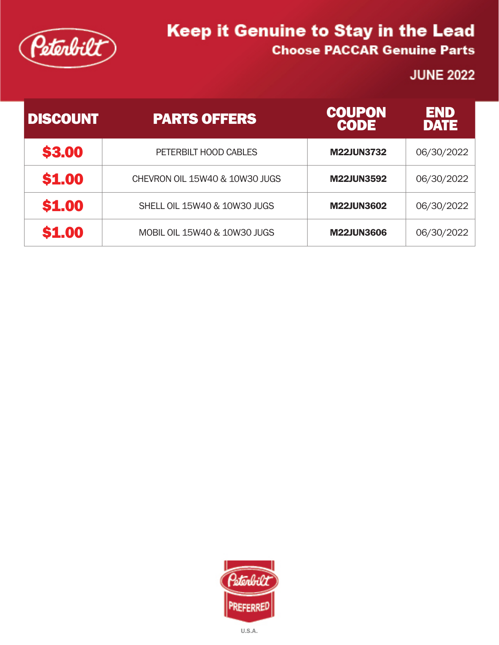

### **JUNE 2022**

| <b>DISCOUNT</b> | <b>PARTS OFFERS</b>            | <b>COUPON</b><br><b>CODE</b> | END<br><b>DATE</b> |
|-----------------|--------------------------------|------------------------------|--------------------|
| \$3.00          | PETERBILT HOOD CABLES          | <b>M22JUN3732</b>            | 06/30/2022         |
| \$1.00          | CHEVRON OIL 15W40 & 10W30 JUGS | <b>M22JUN3592</b>            | 06/30/2022         |
| \$1.00          | SHELL OIL 15W40 & 10W30 JUGS   | <b>M22JUN3602</b>            | 06/30/2022         |
| \$1,00          | MOBIL OIL 15W40 & 10W30 JUGS   | <b>M22JUN3606</b>            | 06/30/2022         |